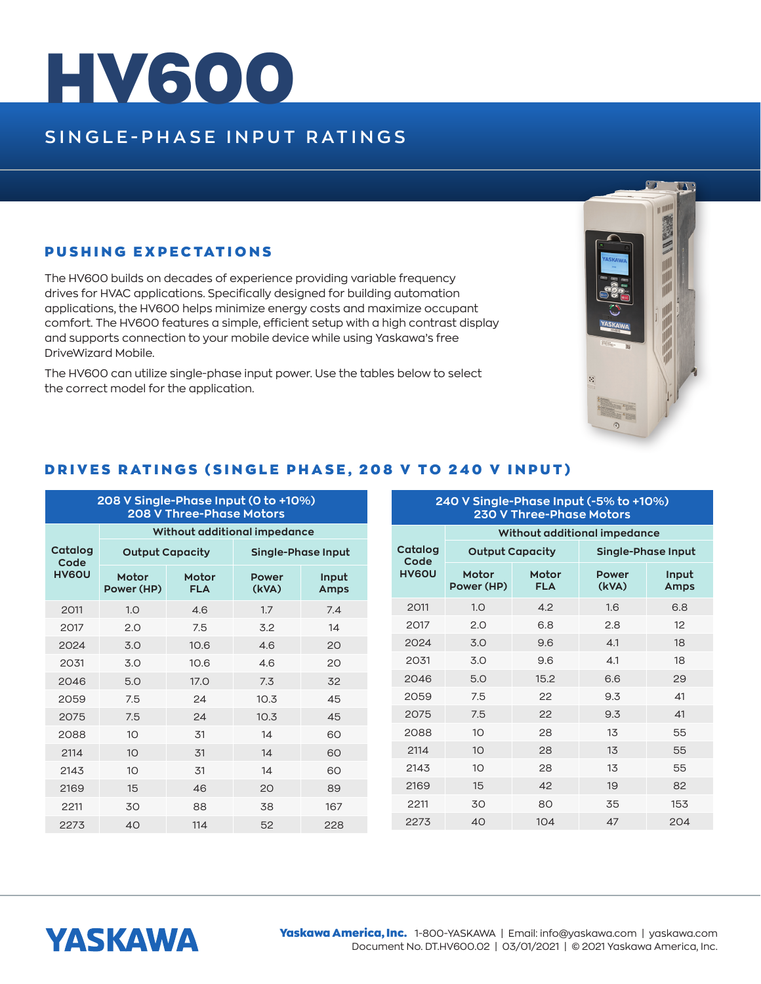# HV600

## **SINGLE-PHASE INPUT RATINGS**

### PUSHING EXPECTATIONS

The HV600 builds on decades of experience providing variable frequency drives for HVAC applications. Specifically designed for building automation applications, the HV600 helps minimize energy costs and maximize occupant comfort. The HV600 features a simple, efficient setup with a high contrast display and supports connection to your mobile device while using Yaskawa's free DriveWizard Mobile.

The HV600 can utilize single-phase input power. Use the tables below to select the correct model for the application.



### DRIVES RATINGS (SINGLE PHASE, 208 V TO 240 V INPUT)

| 208 V Single-Phase Input (0 to +10%)<br><b>208 V Three-Phase Motors</b> |                              |                     |                           |               |  |  |  |
|-------------------------------------------------------------------------|------------------------------|---------------------|---------------------------|---------------|--|--|--|
|                                                                         | Without additional impedance |                     |                           |               |  |  |  |
| Catalog<br>Code<br><b>HV6OU</b>                                         | <b>Output Capacity</b>       |                     | <b>Single-Phase Input</b> |               |  |  |  |
|                                                                         | Motor<br>Power (HP)          | Motor<br><b>FLA</b> | <b>Power</b><br>(kVA)     | Input<br>Amps |  |  |  |
| 2011                                                                    | 1.0                          | 4.6                 | 1.7                       | 7.4           |  |  |  |
| 2017                                                                    | 2.0                          | 7.5                 | 3.2                       | 14            |  |  |  |
| 2024                                                                    | 3.0                          | 10.6                | 4.6                       | 20            |  |  |  |
| 2031                                                                    | 3.0                          | 10.6                | 4.6                       | 20            |  |  |  |
| 2046                                                                    | 5.0                          | 17.0                | 7.3                       | 32            |  |  |  |
| 2059                                                                    | 7.5                          | 24                  | 10.3                      | 45            |  |  |  |
| 2075                                                                    | 7.5                          | 24                  | 10.3                      | 45            |  |  |  |
| 2088                                                                    | 10                           | 31                  | 14                        | 60            |  |  |  |
| 2114                                                                    | 10                           | 31                  | 14                        | 60            |  |  |  |
| 2143                                                                    | 10                           | 31                  | 14                        | 60            |  |  |  |
| 2169                                                                    | 15                           | 46                  | 20                        | 89            |  |  |  |
| 2211                                                                    | 30                           | 88                  | 38                        | 167           |  |  |  |
| 2273                                                                    | 40                           | 114                 | 52                        | 228           |  |  |  |

| 240 V Single-Phase Input (-5% to +10%)<br><b>230 V Three-Phase Motors</b> |                              |                     |                       |                      |  |  |  |
|---------------------------------------------------------------------------|------------------------------|---------------------|-----------------------|----------------------|--|--|--|
|                                                                           | Without additional impedance |                     |                       |                      |  |  |  |
| Cataloa<br>Code<br><b>HV6OU</b>                                           | <b>Output Capacity</b>       |                     | Single-Phase Input    |                      |  |  |  |
|                                                                           | Motor<br>Power (HP)          | Motor<br><b>FLA</b> | <b>Power</b><br>(kVA) | Input<br><b>Amps</b> |  |  |  |
| 2011                                                                      | 1.0                          | 4.2                 | 1.6                   | 6.8                  |  |  |  |
| 2017                                                                      | 2.0                          | 6.8                 | 2.8                   | 12 <sup>°</sup>      |  |  |  |
| 2024                                                                      | 3.0                          | 9.6                 | 4.1                   | 18                   |  |  |  |
| 2031                                                                      | 3.0                          | 9.6                 | 4.1                   | 18                   |  |  |  |
| 2046                                                                      | 5.0                          | 15.2                | 6.6                   | 29                   |  |  |  |
| 2059                                                                      | 7.5                          | 22                  | 9.3                   | 41                   |  |  |  |
| 2075                                                                      | 7.5                          | 22                  | 9.3                   | 41                   |  |  |  |
| 2088                                                                      | 10                           | 28                  | 1 <sub>3</sub>        | 55                   |  |  |  |
| 2114                                                                      | 10                           | 28                  | 13                    | 55                   |  |  |  |
| 2143                                                                      | 10                           | 28                  | 1 <sub>3</sub>        | 55                   |  |  |  |
| 2169                                                                      | 15                           | 42                  | 19                    | 82                   |  |  |  |
| 2211                                                                      | 30                           | 80                  | 35                    | 153                  |  |  |  |
| 2273                                                                      | 40                           | 104                 | 47                    | 204                  |  |  |  |



Yaskawa America, Inc. 1-800-YASKAWA | Email: info@yaskawa.com | yaskawa.com Document No. DT.HV600.02 | 03/01/2021 | © 2021 Yaskawa America, Inc.